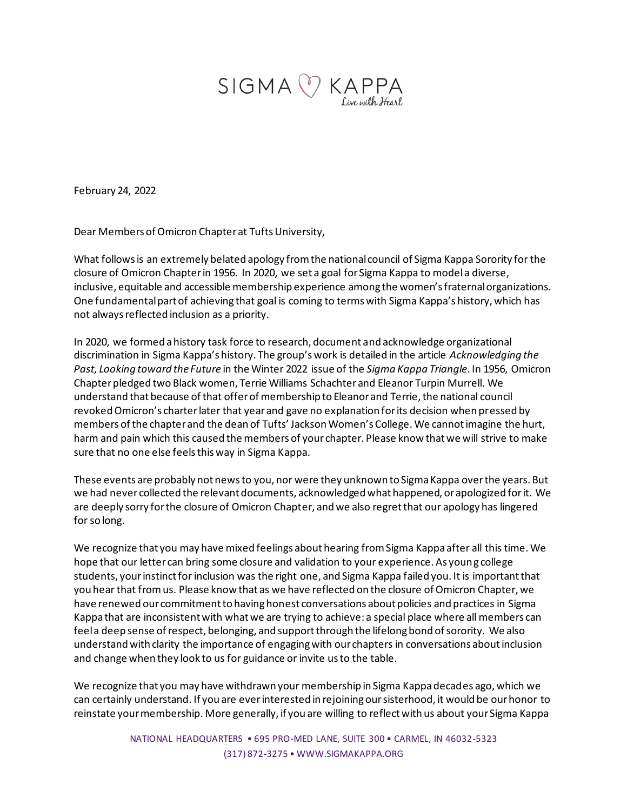

February 24, 2022

Dear Members of Omicron Chapter at Tufts University,

What follows is an extremely belated apology from the national council of Sigma Kappa Sorority for the closure of Omicron Chapter in 1956. In 2020, we set a goal for Sigma Kappa to model a diverse, inclusive, equitable and accessible membership experience among the women's fraternal organizations. One fundamental part of achieving that goal is coming to terms with Sigma Kappa's history, which has not always reflected inclusion as a priority.

In 2020, we formed a history task force to research, document and acknowledge organizational discrimination in Sigma Kappa's history. The group's work is detailed in the article *Acknowledging the Past, Looking toward the Future* in the Winter 2022 issue of the *Sigma Kappa Triangle*. In 1956, Omicron Chapter pledged two Black women, Terrie Williams Schachter and Eleanor Turpin Murrell. We understand that because of that offer of membership to Eleanor and Terrie, the national council revoked Omicron's charter later that year and gave no explanation for its decision when pressed by members of the chapter and the dean of Tufts' Jackson Women's College. We cannot imagine the hurt, harm and pain which this caused the members of your chapter. Please know that we will strive to make sure that no one else feels this way in Sigma Kappa.

These events are probably not news to you, nor were they unknown to Sigma Kappa over the years. But we had never collected the relevant documents, acknowledged what happened, or apologized for it. We are deeply sorry for the closure of Omicron Chapter, and we also regret that our apology has lingered for so long.

We recognize that you may have mixed feelings about hearing from Sigma Kappa after all this time. We hope that our letter can bring some closure and validation to your experience. As young college students, your instinct for inclusion was the right one, and Sigma Kappa failed you. It is important that you hear that from us. Please know that as we have reflected on the closure of Omicron Chapter, we have renewed our commitment to having honest conversations about policies and practices in Sigma Kappa that are inconsistent with what we are trying to achieve: a special place where all members can feel a deep sense of respect, belonging, and support through the lifelong bond of sorority. We also understand with clarity the importance of engaging with our chapters in conversations about inclusion and change when they look to us for guidance or invite us to the table.

We recognize that you may have withdrawn your membership in Sigma Kappa decades ago, which we can certainly understand. If you are ever interested in rejoining our sisterhood, it would be our honor to reinstate your membership. More generally, if you are willing to reflect with us about your Sigma Kappa